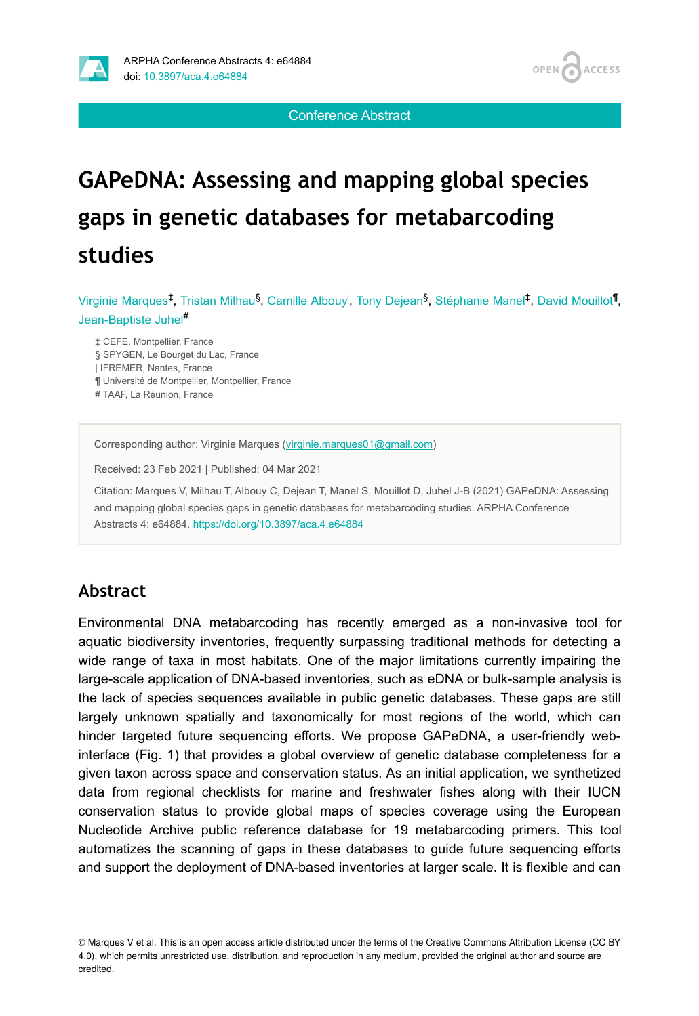

Conference Abstract

# **GAPeDNA: Assessing and mapping global species gaps in genetic databases for metabarcoding studies**

Virginie Marques<sup>‡</sup>, Tristan Milhau<sup>§</sup>, Camille Albouy<sup>l</sup>, Tony Dejean<sup>§</sup>, Stéphanie Manel<sup>‡</sup>, David Mouillot<sup>¶</sup>, Jean-Baptiste Juhel #

‡ CEFE, Montpellier, France

§ SPYGEN, Le Bourget du Lac, France

| IFREMER, Nantes, France

¶ Université de Montpellier, Montpellier, France

# TAAF, La Réunion, France

Corresponding author: Virginie Marques [\(virginie.marques01@gmail.com](mailto:virginie.marques01@gmail.com))

Received: 23 Feb 2021 | Published: 04 Mar 2021

Citation: Marques V, Milhau T, Albouy C, Dejean T, Manel S, Mouillot D, Juhel J-B (2021) GAPeDNA: Assessing and mapping global species gaps in genetic databases for metabarcoding studies. ARPHA Conference Abstracts 4: e64884.<https://doi.org/10.3897/aca.4.e64884>

## **Abstract**

Environmental DNA metabarcoding has recently emerged as a non-invasive tool for aquatic biodiversity inventories, frequently surpassing traditional methods for detecting a wide range of taxa in most habitats. One of the major limitations currently impairing the large-scale application of DNA-based inventories, such as eDNA or bulk-sample analysis is the lack of species sequences available in public genetic databases. These gaps are still largely unknown spatially and taxonomically for most regions of the world, which can hinder targeted future sequencing efforts. We propose GAPeDNA, a user-friendly webinterface (Fig. 1) that provides a global overview of genetic database completeness for a given taxon across space and conservation status. As an initial application, we synthetized data from regional checklists for marine and freshwater fishes along with their IUCN conservation status to provide global maps of species coverage using the European Nucleotide Archive public reference database for 19 metabarcoding primers. This tool automatizes the scanning of gaps in these databases to guide future sequencing efforts and support the deployment of DNA-based inventories at larger scale. It is flexible and can

© Marques V et al. This is an open access article distributed under the terms of the Creative Commons Attribution License (CC BY 4.0), which permits unrestricted use, distribution, and reproduction in any medium, provided the original author and source are credited.